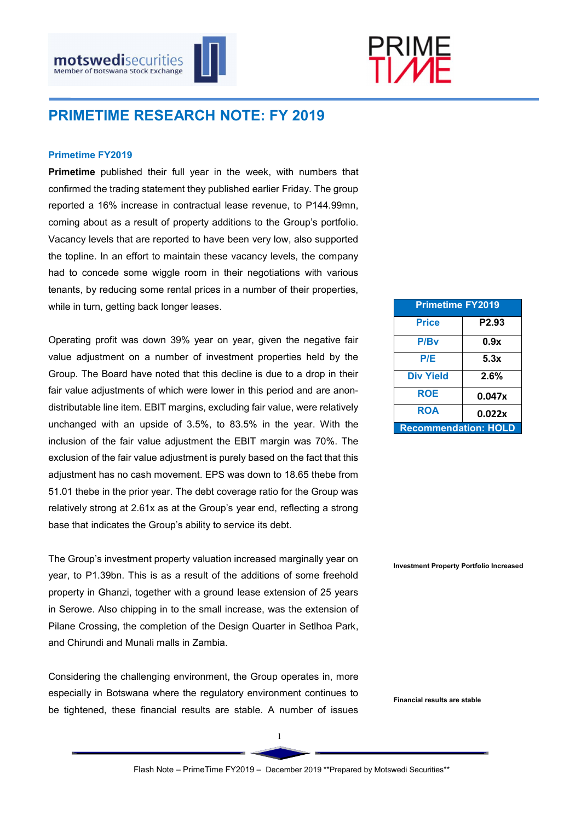



# PRIMETIME RESEARCH NOTE: FY 2019

#### Primetime FY2019

Primetime published their full year in the week, with numbers that confirmed the trading statement they published earlier Friday. The group reported a 16% increase in contractual lease revenue, to P144.99mn, coming about as a result of property additions to the Group's portfolio. Vacancy levels that are reported to have been very low, also supported the topline. In an effort to maintain these vacancy levels, the company had to concede some wiggle room in their negotiations with various tenants, by reducing some rental prices in a number of their properties, while in turn, getting back longer leases.

Operating profit was down 39% year on year, given the negative fair value adjustment on a number of investment properties held by the Group. The Board have noted that this decline is due to a drop in their fair value adjustments of which were lower in this period and are anondistributable line item. EBIT margins, excluding fair value, were relatively unchanged with an upside of 3.5%, to 83.5% in the year. With the inclusion of the fair value adjustment the EBIT margin was 70%. The exclusion of the fair value adjustment is purely based on the fact that this adjustment has no cash movement. EPS was down to 18.65 thebe from 51.01 thebe in the prior year. The debt coverage ratio for the Group was relatively strong at 2.61x as at the Group's year end, reflecting a strong base that indicates the Group's ability to service its debt.

The Group's investment property valuation increased marginally year on year, to P1.39bn. This is as a result of the additions of some freehold property in Ghanzi, together with a ground lease extension of 25 years in Serowe. Also chipping in to the small increase, was the extension of Pilane Crossing, the completion of the Design Quarter in Setlhoa Park, and Chirundi and Munali malls in Zambia.

Considering the challenging environment, the Group operates in, more especially in Botswana where the regulatory environment continues to be tightened, these financial results are stable. A number of issues

| <b>Primetime FY2019</b>     |        |  |  |  |
|-----------------------------|--------|--|--|--|
| <b>Price</b>                | P2.93  |  |  |  |
| P/Bv                        | 0.9x   |  |  |  |
| P/E                         | 5.3x   |  |  |  |
| <b>Div Yield</b>            | 2.6%   |  |  |  |
| <b>ROE</b>                  | 0.047x |  |  |  |
| <b>ROA</b>                  | 0.022x |  |  |  |
| <b>Recommendation: HOLD</b> |        |  |  |  |

Investment Property Portfolio Increased

Financial results are stable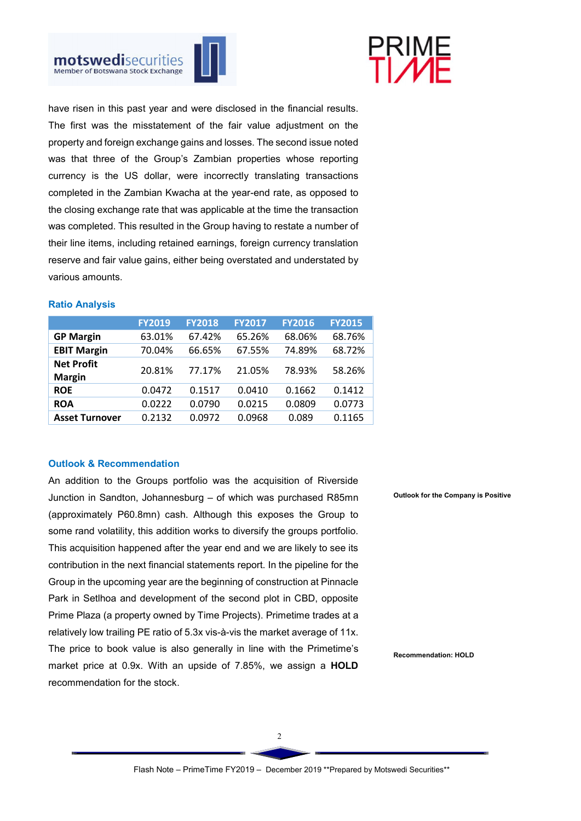



have risen in this past year and were disclosed in the financial results. The first was the misstatement of the fair value adjustment on the property and foreign exchange gains and losses. The second issue noted was that three of the Group's Zambian properties whose reporting currency is the US dollar, were incorrectly translating transactions completed in the Zambian Kwacha at the year-end rate, as opposed to the closing exchange rate that was applicable at the time the transaction was completed. This resulted in the Group having to restate a number of their line items, including retained earnings, foreign currency translation reserve and fair value gains, either being overstated and understated by various amounts.

## Ratio Analysis

|                       | <b>FY2019</b> | <b>FY2018</b> | <b>FY2017</b> | <b>FY2016</b> | <b>FY2015</b> |
|-----------------------|---------------|---------------|---------------|---------------|---------------|
| <b>GP Margin</b>      | 63.01%        | 67.42%        | 65.26%        | 68.06%        | 68.76%        |
| <b>EBIT Margin</b>    | 70.04%        | 66.65%        | 67.55%        | 74.89%        | 68.72%        |
| <b>Net Profit</b>     | 20.81%        | 77.17%        | 21.05%        | 78.93%        | 58.26%        |
| <b>Margin</b>         |               |               |               |               |               |
| <b>ROE</b>            | 0.0472        | 0.1517        | 0.0410        | 0.1662        | 0.1412        |
| <b>ROA</b>            | 0.0222        | 0.0790        | 0.0215        | 0.0809        | 0.0773        |
| <b>Asset Turnover</b> | 0.2132        | 0.0972        | 0.0968        | 0.089         | 0.1165        |

## Outlook & Recommendation

An addition to the Groups portfolio was the acquisition of Riverside Junction in Sandton, Johannesburg – of which was purchased R85mn (approximately P60.8mn) cash. Although this exposes the Group to some rand volatility, this addition works to diversify the groups portfolio. This acquisition happened after the year end and we are likely to see its contribution in the next financial statements report. In the pipeline for the Group in the upcoming year are the beginning of construction at Pinnacle Park in Setlhoa and development of the second plot in CBD, opposite Prime Plaza (a property owned by Time Projects). Primetime trades at a relatively low trailing PE ratio of 5.3x vis-à-vis the market average of 11x. The price to book value is also generally in line with the Primetime's market price at 0.9x. With an upside of 7.85%, we assign a **HOLD** recommendation for the stock.

Outlook for the Company is Positive

Recommendation: HOLD